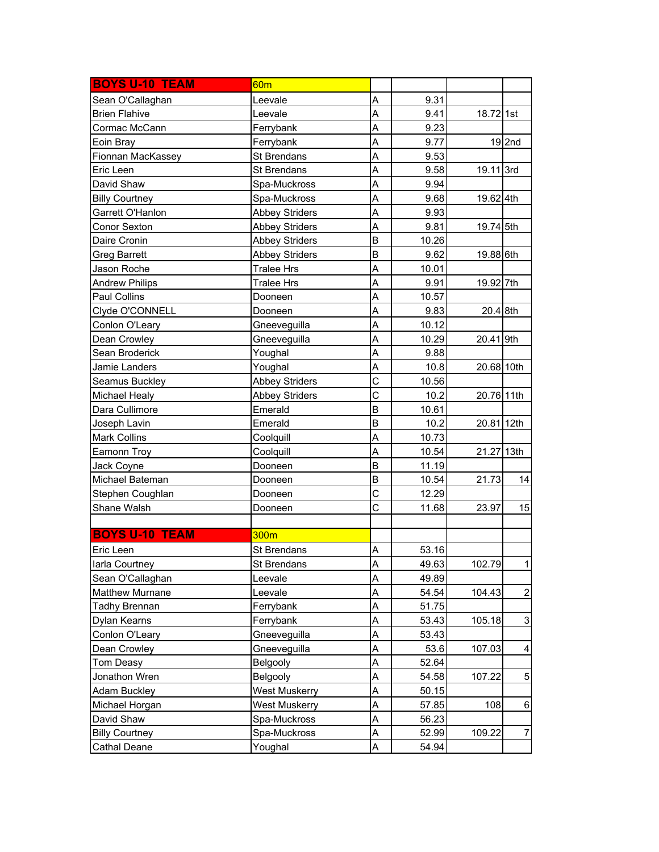| <b>BOYS U-10 TEAM</b> | 60 <sub>m</sub>       |   |       |            |                |
|-----------------------|-----------------------|---|-------|------------|----------------|
| Sean O'Callaghan      | Leevale               | A | 9.31  |            |                |
| <b>Brien Flahive</b>  | Leevale               | A | 9.41  | 18.72 1st  |                |
| Cormac McCann         | Ferrybank             | A | 9.23  |            |                |
| Eoin Bray             | Ferrybank             | A | 9.77  |            | $19$ 2nd       |
| Fionnan MacKassey     | St Brendans           | A | 9.53  |            |                |
| Eric Leen             | St Brendans           | A | 9.58  | 19.11 3rd  |                |
| David Shaw            | Spa-Muckross          | A | 9.94  |            |                |
| <b>Billy Courtney</b> | Spa-Muckross          | A | 9.68  | 19.62 4th  |                |
| Garrett O'Hanlon      | <b>Abbey Striders</b> | A | 9.93  |            |                |
| Conor Sexton          | <b>Abbey Striders</b> | A | 9.81  | 19.74 5th  |                |
| Daire Cronin          | <b>Abbey Striders</b> | B | 10.26 |            |                |
| <b>Greg Barrett</b>   | <b>Abbey Striders</b> | B | 9.62  | 19.88 6th  |                |
| Jason Roche           | <b>Tralee Hrs</b>     | A | 10.01 |            |                |
| <b>Andrew Philips</b> | <b>Tralee Hrs</b>     | A | 9.91  | 19.92 7th  |                |
| Paul Collins          | Dooneen               | A | 10.57 |            |                |
| Clyde O'CONNELL       | Dooneen               | A | 9.83  | 20.4 8th   |                |
| Conlon O'Leary        | Gneeveguilla          | A | 10.12 |            |                |
| Dean Crowley          | Gneeveguilla          | A | 10.29 | 20.41 9th  |                |
| Sean Broderick        | Youghal               | A | 9.88  |            |                |
| Jamie Landers         | Youghal               | A | 10.8  | 20.68 10th |                |
| Seamus Buckley        | <b>Abbey Striders</b> | C | 10.56 |            |                |
| Michael Healy         | <b>Abbey Striders</b> | C | 10.2  | 20.76 11th |                |
| Dara Cullimore        | Emerald               | B | 10.61 |            |                |
| Joseph Lavin          | Emerald               | B | 10.2  | 20.81 12th |                |
| Mark Collins          | Coolquill             | A | 10.73 |            |                |
| Eamonn Troy           | Coolquill             | A | 10.54 | 21.27 13th |                |
| Jack Coyne            | Dooneen               | B | 11.19 |            |                |
| Michael Bateman       | Dooneen               | B | 10.54 | 21.73      | 14             |
| Stephen Coughlan      | Dooneen               | C | 12.29 |            |                |
| Shane Walsh           | Dooneen               | C | 11.68 | 23.97      | 15             |
|                       |                       |   |       |            |                |
| <b>BOYS U-10 TEAM</b> | 300m                  |   |       |            |                |
| Eric Leen             | <b>St Brendans</b>    | Α | 53.16 |            |                |
| larla Courtney        | St Brendans           | A | 49.63 | 102.79     | 1              |
| Sean O'Callaghan      | Leevale               | A | 49.89 |            |                |
| Matthew Murnane       | Leevale               | A | 54.54 | 104.43     | $\overline{c}$ |
| Tadhy Brennan         | Ferrybank             | A | 51.75 |            |                |
| Dylan Kearns          | Ferrybank             | A | 53.43 | 105.18     | 3              |
| Conlon O'Leary        | Gneeveguilla          | Α | 53.43 |            |                |
| Dean Crowley          | Gneeveguilla          | A | 53.6  | 107.03     | 4              |
| Tom Deasy             | <b>Belgooly</b>       | A | 52.64 |            |                |
| Jonathon Wren         | <b>Belgooly</b>       | A | 54.58 | 107.22     | 5              |
| <b>Adam Buckley</b>   | <b>West Muskerry</b>  | A | 50.15 |            |                |
| Michael Horgan        | <b>West Muskerry</b>  | A | 57.85 | 108        | $\,6$          |
| David Shaw            | Spa-Muckross          | A | 56.23 |            |                |
| <b>Billy Courtney</b> | Spa-Muckross          | Α | 52.99 | 109.22     | 7              |
| Cathal Deane          | Youghal               | Α | 54.94 |            |                |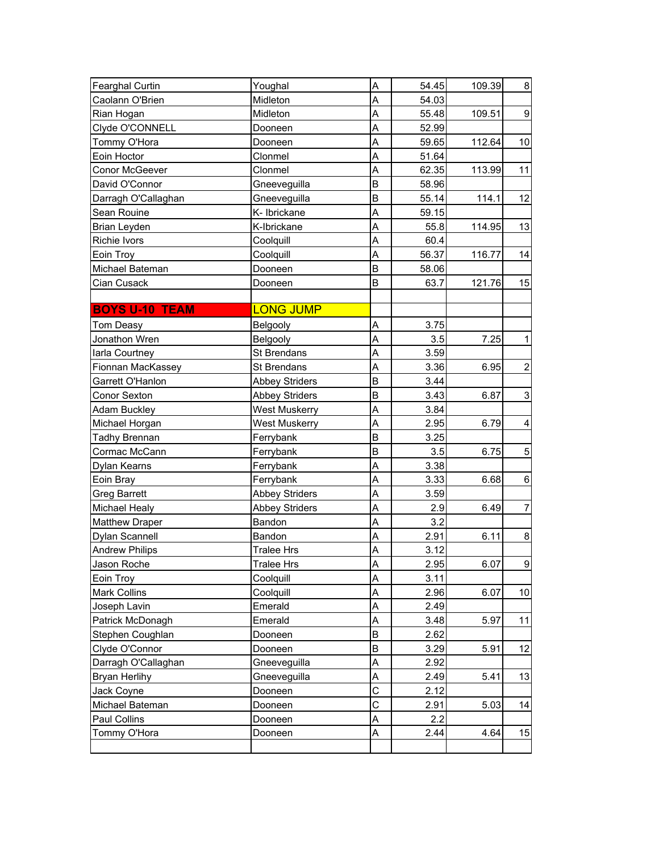| <b>Fearghal Curtin</b> | Youghal               | A | 54.45 | 109.39 | $\bf 8$                   |
|------------------------|-----------------------|---|-------|--------|---------------------------|
| Caolann O'Brien        | Midleton              | A | 54.03 |        |                           |
| Rian Hogan             | Midleton              | A | 55.48 | 109.51 | $\boldsymbol{9}$          |
| Clyde O'CONNELL        | Dooneen               | A | 52.99 |        |                           |
| Tommy O'Hora           | Dooneen               | A | 59.65 | 112.64 | 10                        |
| Eoin Hoctor            | Clonmel               | A | 51.64 |        |                           |
| Conor McGeever         | Clonmel               | A | 62.35 | 113.99 | 11                        |
| David O'Connor         | Gneeveguilla          | B | 58.96 |        |                           |
| Darragh O'Callaghan    | Gneeveguilla          | B | 55.14 | 114.1  | 12                        |
| Sean Rouine            | K- Ibrickane          | A | 59.15 |        |                           |
| Brian Leyden           | K-Ibrickane           | A | 55.8  | 114.95 | 13                        |
| Richie Ivors           | Coolquill             | A | 60.4  |        |                           |
| Eoin Troy              | Coolquill             | A | 56.37 | 116.77 | 14                        |
| Michael Bateman        | Dooneen               | B | 58.06 |        |                           |
| Cian Cusack            | Dooneen               | B | 63.7  | 121.76 | 15                        |
| <b>BOYS U-10 TEAM</b>  | <b>LONG JUMP</b>      |   |       |        |                           |
| Tom Deasy              | Belgooly              | A | 3.75  |        |                           |
| Jonathon Wren          | Belgooly              | A | 3.5   | 7.25   | $\mathbf{1}$              |
| larla Courtney         | St Brendans           | A | 3.59  |        |                           |
| Fionnan MacKassey      | St Brendans           | A | 3.36  | 6.95   | $\overline{c}$            |
| Garrett O'Hanlon       | <b>Abbey Striders</b> | B | 3.44  |        |                           |
| Conor Sexton           | Abbey Striders        | B | 3.43  | 6.87   | $\ensuremath{\mathsf{3}}$ |
| Adam Buckley           | <b>West Muskerry</b>  | A | 3.84  |        |                           |
| Michael Horgan         | <b>West Muskerry</b>  | A | 2.95  | 6.79   | $\overline{\mathbf{4}}$   |
| Tadhy Brennan          | Ferrybank             | B | 3.25  |        |                           |
| Cormac McCann          | Ferrybank             | B | 3.5   | 6.75   | $\sqrt{5}$                |
| Dylan Kearns           | Ferrybank             | A | 3.38  |        |                           |
| Eoin Bray              | Ferrybank             | A | 3.33  | 6.68   | 6                         |
| <b>Greg Barrett</b>    | <b>Abbey Striders</b> | A | 3.59  |        |                           |
| <b>Michael Healy</b>   | <b>Abbey Striders</b> | A | 2.9   | 6.49   | $\overline{7}$            |
| <b>Matthew Draper</b>  | Bandon                | A | 3.2   |        |                           |
| Dylan Scannell         | Bandon                | A | 2.91  | 6.11   | 8                         |
| <b>Andrew Philips</b>  | <b>Tralee Hrs</b>     | A | 3.12  |        |                           |
| Jason Roche            | Tralee Hrs            | A | 2.95  | 6.07   | $\overline{9}$            |
| Eoin Troy              | Coolquill             | A | 3.11  |        |                           |
| <b>Mark Collins</b>    | Coolquill             | A | 2.96  | 6.07   | 10                        |
| Joseph Lavin           | Emerald               | A | 2.49  |        |                           |
| Patrick McDonagh       | Emerald               | A | 3.48  | 5.97   | 11                        |
| Stephen Coughlan       | Dooneen               | B | 2.62  |        |                           |
| Clyde O'Connor         | Dooneen               | B | 3.29  | 5.91   | 12                        |
| Darragh O'Callaghan    | Gneeveguilla          | A | 2.92  |        |                           |
| <b>Bryan Herlihy</b>   | Gneeveguilla          | A | 2.49  | 5.41   | 13                        |
| Jack Coyne             | Dooneen               | C | 2.12  |        |                           |
| Michael Bateman        | Dooneen               | C | 2.91  | 5.03   | 14                        |
| Paul Collins           | Dooneen               | A | 2.2   |        |                           |
| Tommy O'Hora           | Dooneen               | Α | 2.44  | 4.64   | 15                        |
|                        |                       |   |       |        |                           |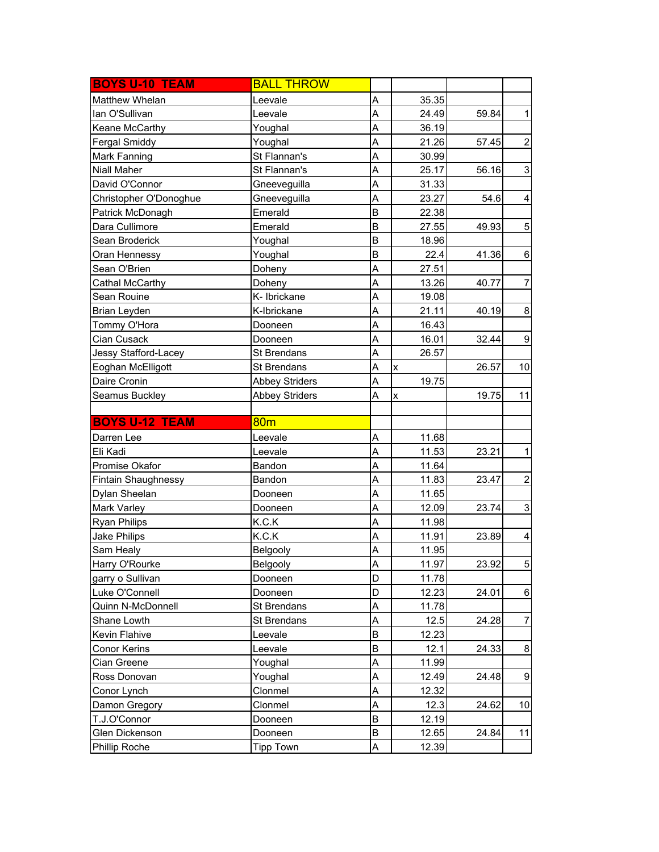| <b>BOYS U-10 TEAM</b>  | <b>BALL THROW</b>     |   |              |       |                           |
|------------------------|-----------------------|---|--------------|-------|---------------------------|
| Matthew Whelan         | Leevale               | A | 35.35        |       |                           |
| lan O'Sullivan         | Leevale               | A | 24.49        | 59.84 | $\mathbf{1}$              |
| Keane McCarthy         | Youghal               | A | 36.19        |       |                           |
| <b>Fergal Smiddy</b>   | Youghal               | A | 21.26        | 57.45 | $\overline{2}$            |
| Mark Fanning           | St Flannan's          | A | 30.99        |       |                           |
| Niall Maher            | St Flannan's          | A | 25.17        | 56.16 | $\ensuremath{\mathsf{3}}$ |
| David O'Connor         | Gneeveguilla          | A | 31.33        |       |                           |
| Christopher O'Donoghue | Gneeveguilla          | A | 23.27        | 54.6  | 4                         |
| Patrick McDonagh       | Emerald               | B | 22.38        |       |                           |
| Dara Cullimore         | Emerald               | B | 27.55        | 49.93 | $\mathbf 5$               |
| Sean Broderick         | Youghal               | B | 18.96        |       |                           |
| Oran Hennessy          | Youghal               | B | 22.4         | 41.36 | $\,6$                     |
| Sean O'Brien           | Doheny                | A | 27.51        |       |                           |
| Cathal McCarthy        | Doheny                | A | 13.26        | 40.77 | $\overline{7}$            |
| Sean Rouine            | K- Ibrickane          | A | 19.08        |       |                           |
| Brian Leyden           | K-Ibrickane           | A | 21.11        | 40.19 | 8                         |
| Tommy O'Hora           | Dooneen               | A | 16.43        |       |                           |
| Cian Cusack            | Dooneen               | A | 16.01        | 32.44 | 9                         |
| Jessy Stafford-Lacey   | St Brendans           | A | 26.57        |       |                           |
| Eoghan McElligott      | St Brendans           | A | $\mathsf{x}$ | 26.57 | 10                        |
| Daire Cronin           | <b>Abbey Striders</b> | A | 19.75        |       |                           |
| Seamus Buckley         | <b>Abbey Striders</b> | A | X            | 19.75 | 11                        |
|                        |                       |   |              |       |                           |
|                        |                       |   |              |       |                           |
| <b>BOYS U-12 TEAM</b>  | 80 <sub>m</sub>       |   |              |       |                           |
| Darren Lee             | Leevale               | Α | 11.68        |       |                           |
| Eli Kadi               | Leevale               | A | 11.53        | 23.21 | $\mathbf{1}$              |
| Promise Okafor         | Bandon                | A | 11.64        |       |                           |
| Fintain Shaughnessy    | Bandon                | A | 11.83        | 23.47 | $\overline{\mathbf{c}}$   |
| Dylan Sheelan          | Dooneen               | A | 11.65        |       |                           |
| Mark Varley            | Dooneen               | A | 12.09        | 23.74 | $\ensuremath{\mathsf{3}}$ |
| <b>Ryan Philips</b>    | K.C.K                 | A | 11.98        |       |                           |
| Jake Philips           | K.C.K                 | A | 11.91        | 23.89 | 4                         |
| Sam Healy              | Belgooly              | A | 11.95        |       |                           |
| Harry O'Rourke         | Belgooly              | Α | 11.97        | 23.92 | 5                         |
| garry o Sullivan       | Dooneen               | D | 11.78        |       |                           |
| Luke O'Connell         | Dooneen               | D | 12.23        | 24.01 | $\,6$                     |
| Quinn N-McDonnell      | St Brendans           | Α | 11.78        |       |                           |
| Shane Lowth            | St Brendans           | A | 12.5         | 24.28 | $\overline{7}$            |
| Kevin Flahive          | Leevale               | B | 12.23        |       |                           |
| Conor Kerins           | Leevale               | B | 12.1         | 24.33 | 8                         |
| Cian Greene            | Youghal               | A | 11.99        |       |                           |
| Ross Donovan           | Youghal               | A | 12.49        | 24.48 | 9                         |
| Conor Lynch            | Clonmel               | A | 12.32        |       |                           |
| Damon Gregory          | Clonmel               | A | 12.3         | 24.62 | 10                        |
| T.J.O'Connor           | Dooneen               | B | 12.19        |       |                           |
| Glen Dickenson         | Dooneen               | B | 12.65        | 24.84 | 11                        |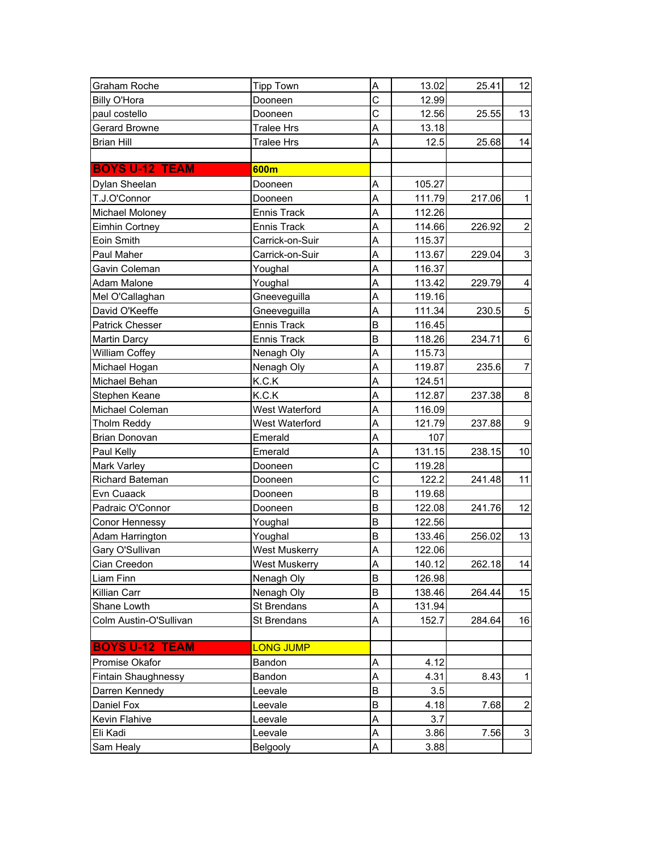| Graham Roche           | <b>Tipp Town</b>   | A                                | 13.02  | 25.41  | 12                        |
|------------------------|--------------------|----------------------------------|--------|--------|---------------------------|
| <b>Billy O'Hora</b>    | Dooneen            | Ċ                                | 12.99  |        |                           |
| paul costello          | Dooneen            | Ċ                                | 12.56  | 25.55  | 13                        |
| Gerard Browne          | <b>Tralee Hrs</b>  | A                                | 13.18  |        |                           |
| <b>Brian Hill</b>      | Tralee Hrs         | A                                | 12.5   | 25.68  | 14                        |
|                        |                    |                                  |        |        |                           |
| <b>BOYS U-12 TEAM</b>  | 600m               |                                  |        |        |                           |
| Dylan Sheelan          | Dooneen            | A                                | 105.27 |        |                           |
| T.J.O'Connor           | Dooneen            | A                                | 111.79 | 217.06 | $\mathbf{1}$              |
| Michael Moloney        | Ennis Track        | A                                | 112.26 |        |                           |
| Eimhin Cortney         | <b>Ennis Track</b> | A                                | 114.66 | 226.92 | $\mathbf 2$               |
| Eoin Smith             | Carrick-on-Suir    | A                                | 115.37 |        |                           |
| Paul Maher             | Carrick-on-Suir    | A                                | 113.67 | 229.04 | 3                         |
| Gavin Coleman          | Youghal            | A                                | 116.37 |        |                           |
| Adam Malone            | Youghal            | A                                | 113.42 | 229.79 | $\overline{\mathbf{4}}$   |
| Mel O'Callaghan        | Gneeveguilla       | A                                | 119.16 |        |                           |
| David O'Keeffe         | Gneeveguilla       | A                                | 111.34 | 230.5  | $\sqrt{5}$                |
| Patrick Chesser        | Ennis Track        | B                                | 116.45 |        |                           |
| Martin Darcy           | Ennis Track        | B                                | 118.26 | 234.71 | $\,6$                     |
| <b>William Coffey</b>  | Nenagh Oly         | A                                | 115.73 |        |                           |
| Michael Hogan          | Nenagh Oly         | A                                | 119.87 | 235.6  | $\overline{7}$            |
| Michael Behan          | K.C.K              | A                                | 124.51 |        |                           |
| Stephen Keane          | K.C.K              | A                                | 112.87 | 237.38 | $\bf 8$                   |
| Michael Coleman        | West Waterford     | A                                | 116.09 |        |                           |
| Tholm Reddy            | West Waterford     | A                                | 121.79 | 237.88 | $\overline{9}$            |
| Brian Donovan          | Emerald            | A                                | 107    |        |                           |
| Paul Kelly             | Emerald            | Α                                | 131.15 | 238.15 | 10                        |
| Mark Varley            | Dooneen            | $\overline{\overline{\text{c}}}$ | 119.28 |        |                           |
| Richard Bateman        | Dooneen            | C                                | 122.2  | 241.48 | 11                        |
| Evn Cuaack             | Dooneen            | B                                | 119.68 |        |                           |
| Padraic O'Connor       | Dooneen            | B                                | 122.08 | 241.76 | 12                        |
| Conor Hennessy         | Youghal            | B                                | 122.56 |        |                           |
| Adam Harrington        | Youghal            | B                                | 133.46 | 256.02 | 13                        |
| Gary O'Sullivan        | West Muskerry      | A                                | 122.06 |        |                           |
| Cian Creedon           | West Muskerry      | Α                                | 140.12 | 262.18 | 14                        |
| Liam Finn              | Nenagh Oly         | B                                | 126.98 |        |                           |
| Killian Carr           | Nenagh Oly         | B                                | 138.46 | 264.44 | 15                        |
| Shane Lowth            | St Brendans        | Α                                | 131.94 |        |                           |
| Colm Austin-O'Sullivan | St Brendans        | A                                | 152.7  | 284.64 | 16                        |
|                        |                    |                                  |        |        |                           |
| <b>BOYS U-12 TEAM</b>  | <b>LONG JUMP</b>   |                                  |        |        |                           |
| Promise Okafor         | Bandon             | Α                                | 4.12   |        |                           |
| Fintain Shaughnessy    | Bandon             | A                                | 4.31   | 8.43   | $\mathbf{1}$              |
| Darren Kennedy         | Leevale            | B                                | 3.5    |        |                           |
| Daniel Fox             | Leevale            | B                                | 4.18   | 7.68   | $\boldsymbol{2}$          |
| Kevin Flahive          | Leevale            | A                                | 3.7    |        |                           |
| Eli Kadi               | Leevale            | A                                | 3.86   | 7.56   | $\ensuremath{\mathsf{3}}$ |
| Sam Healy              | Belgooly           | A                                | 3.88   |        |                           |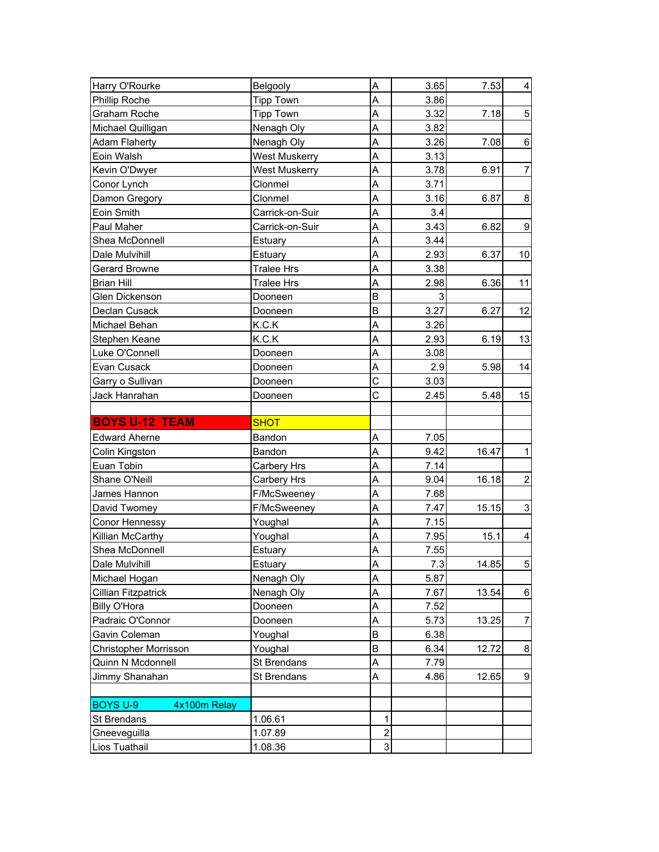| Harry O'Rourke                  | Belgooly          | A                       | 3.65 | 7.53  | $\overline{\mathbf{4}}$   |
|---------------------------------|-------------------|-------------------------|------|-------|---------------------------|
| Phillip Roche                   | <b>Tipp Town</b>  | Α                       | 3.86 |       |                           |
| Graham Roche                    | <b>Tipp Town</b>  | A                       | 3.32 | 7.18  | $\mathbf 5$               |
| Michael Quilligan               | Nenagh Oly        | A                       | 3.82 |       |                           |
| <b>Adam Flaherty</b>            | Nenagh Oly        | A                       | 3.26 | 7.08  | $\,6$                     |
| Eoin Walsh                      | West Muskerry     | A                       | 3.13 |       |                           |
| Kevin O'Dwyer                   | West Muskerry     | A                       | 3.78 | 6.91  | $\overline{7}$            |
| Conor Lynch                     | Clonmel           | A                       | 3.71 |       |                           |
| Damon Gregory                   | Clonmel           | A                       | 3.16 | 6.87  | 8                         |
| Eoin Smith                      | Carrick-on-Suir   | A                       | 3.4  |       |                           |
| Paul Maher                      | Carrick-on-Suir   | A                       | 3.43 | 6.82  | $\boldsymbol{9}$          |
| Shea McDonnell                  | Estuary           | A                       | 3.44 |       |                           |
| Dale Mulvihill                  | Estuary           | A                       | 2.93 | 6.37  | 10                        |
| Gerard Browne                   | <b>Tralee Hrs</b> | A                       | 3.38 |       |                           |
| <b>Brian Hill</b>               | <b>Tralee Hrs</b> | A                       | 2.98 | 6.36  | 11                        |
| Glen Dickenson                  | Dooneen           | B                       | 3    |       |                           |
| Declan Cusack                   | Dooneen           | B                       | 3.27 | 6.27  | 12                        |
| Michael Behan                   | K.C.K             | A                       | 3.26 |       |                           |
| Stephen Keane                   | K.C.K             | A                       | 2.93 | 6.19  | 13                        |
| Luke O'Connell                  | Dooneen           | A                       | 3.08 |       |                           |
| Evan Cusack                     | Dooneen           | A                       | 2.9  | 5.98  | 14                        |
| Garry o Sullivan                | Dooneen           | $\mathsf C$             | 3.03 |       |                           |
| Jack Hanrahan                   | Dooneen           | C                       | 2.45 | 5.48  | 15                        |
|                                 |                   |                         |      |       |                           |
| <b>BOYS U-12 TEAM</b>           | <b>SHOT</b>       |                         |      |       |                           |
| <b>Edward Aherne</b>            | Bandon            | A                       | 7.05 |       |                           |
| Colin Kingston                  | Bandon            | A                       | 9.42 | 16.47 | $\mathbf{1}$              |
| Euan Tobin                      | Carbery Hrs       | A                       | 7.14 |       |                           |
| Shane O'Neill                   | Carbery Hrs       | A                       | 9.04 | 16.18 | $\overline{\mathbf{c}}$   |
| James Hannon                    | F/McSweeney       | A                       | 7.68 |       |                           |
| David Twomey                    | F/McSweeney       | A                       | 7.47 | 15.15 | $\ensuremath{\mathsf{3}}$ |
| Conor Hennessy                  | Youghal           | A                       | 7.15 |       |                           |
| Killian McCarthy                | Youghal           | A                       | 7.95 | 15.1  | 4                         |
| Shea McDonnell                  | Estuary           | A                       | 7.55 |       |                           |
| Dale Mulvihill                  | Estuary           | Α                       | 7.3  | 14.85 | 5                         |
| Michael Hogan                   | Nenagh Oly        | A                       | 5.87 |       |                           |
| Cillian Fitzpatrick             | Nenagh Oly        | A                       | 7.67 | 13.54 | $\,6$                     |
| Billy O'Hora                    | Dooneen           | A                       | 7.52 |       |                           |
| Padraic O'Connor                | Dooneen           | A                       | 5.73 | 13.25 | $\overline{7}$            |
| Gavin Coleman                   | Youghal           | B                       | 6.38 |       |                           |
| Christopher Morrisson           | Youghal           | B                       | 6.34 | 12.72 | 8                         |
| Quinn N Mcdonnell               | St Brendans       | A                       | 7.79 |       |                           |
| Jimmy Shanahan                  | St Brendans       | Α                       | 4.86 | 12.65 | 9                         |
|                                 |                   |                         |      |       |                           |
| <b>BOYS U-9</b><br>4x100m Relay |                   |                         |      |       |                           |
| St Brendans                     | 1.06.61           | 1                       |      |       |                           |
| Gneeveguilla                    | 1.07.89           | $\overline{\mathbf{c}}$ |      |       |                           |
| Lios Tuathail                   | 1.08.36           | 3                       |      |       |                           |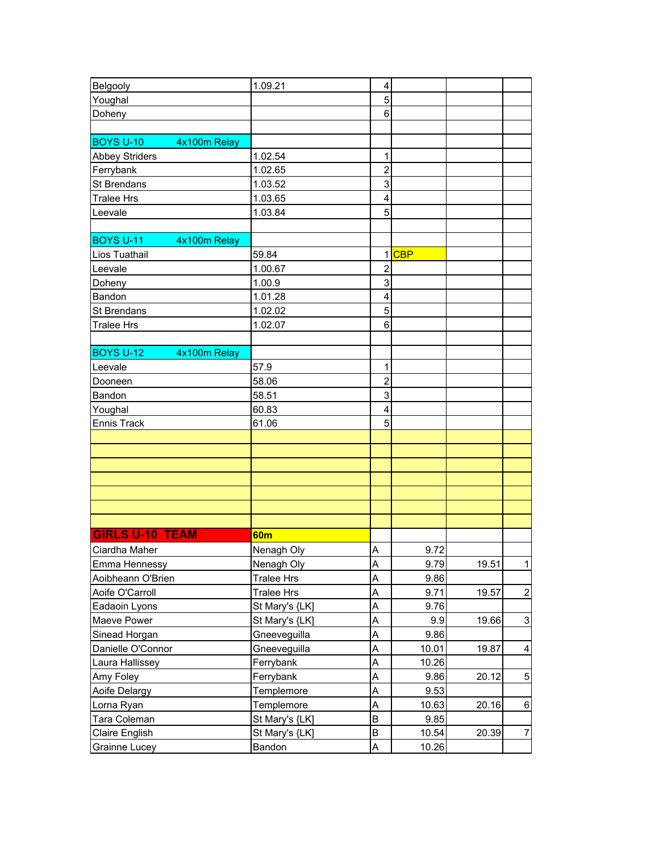| Belgooly                         | 1.09.21           | 4                       |       |       |                           |
|----------------------------------|-------------------|-------------------------|-------|-------|---------------------------|
| Youghal                          |                   | 5                       |       |       |                           |
| Doheny                           |                   | 6                       |       |       |                           |
|                                  |                   |                         |       |       |                           |
| <b>BOYS U-10</b><br>4x100m Relay |                   |                         |       |       |                           |
| <b>Abbey Striders</b>            | 1.02.54           | 1                       |       |       |                           |
| Ferrybank                        | 1.02.65           | $\overline{c}$          |       |       |                           |
| <b>St Brendans</b>               | 1.03.52           | 3                       |       |       |                           |
| <b>Tralee Hrs</b>                | 1.03.65           | 4                       |       |       |                           |
| Leevale                          | 1.03.84           | 5                       |       |       |                           |
|                                  |                   |                         |       |       |                           |
| <b>BOYS U-11</b><br>4x100m Relay |                   |                         |       |       |                           |
| Lios Tuathail                    | 59.84             |                         | 1CBP  |       |                           |
| Leevale                          | 1.00.67           | $\overline{2}$          |       |       |                           |
| Doheny                           | 1.00.9            | 3                       |       |       |                           |
| Bandon                           | 1.01.28           | 4                       |       |       |                           |
| St Brendans                      | 1.02.02           | 5                       |       |       |                           |
| <b>Tralee Hrs</b>                | 1.02.07           | 6                       |       |       |                           |
|                                  |                   |                         |       |       |                           |
| <b>BOYS U-12</b><br>4x100m Relay |                   |                         |       |       |                           |
| Leevale                          | 57.9              | 1                       |       |       |                           |
| Dooneen                          | 58.06             | $\overline{2}$          |       |       |                           |
| Bandon                           | 58.51             | 3                       |       |       |                           |
| Youghal                          | 60.83             | $\overline{\mathbf{4}}$ |       |       |                           |
| <b>Ennis Track</b>               | 61.06             | 5                       |       |       |                           |
|                                  |                   |                         |       |       |                           |
|                                  |                   |                         |       |       |                           |
|                                  |                   |                         |       |       |                           |
|                                  |                   |                         |       |       |                           |
|                                  |                   |                         |       |       |                           |
|                                  |                   |                         |       |       |                           |
|                                  |                   |                         |       |       |                           |
| <b>GIRLS U-10 TEAM</b>           | 60 <sub>m</sub>   |                         |       |       |                           |
| Ciardha Maher                    | Nenagh Oly        | Α                       | 9.72  |       |                           |
| Emma Hennessy                    | Nenagh Oly        | Α                       | 9.79  | 19.51 | $\mathbf{1}$              |
| Aoibheann O'Brien                | <b>Tralee Hrs</b> | A                       | 9.86  |       |                           |
| Aoife O'Carroll                  | <b>Tralee Hrs</b> | A                       | 9.71  | 19.57 | $\mathbf{2}$              |
| Eadaoin Lyons                    | St Mary's {LK]    | A                       | 9.76  |       |                           |
| Maeve Power                      | St Mary's {LK]    | A                       | 9.9   | 19.66 | $\ensuremath{\mathsf{3}}$ |
| Sinead Horgan                    | Gneeveguilla      | Α                       | 9.86  |       |                           |
| Danielle O'Connor                | Gneeveguilla      | A                       | 10.01 | 19.87 | $\overline{\mathbf{4}}$   |
| Laura Hallissey                  | Ferrybank         | A                       | 10.26 |       |                           |
| Amy Foley                        | Ferrybank         | Α                       | 9.86  | 20.12 | $\mathbf 5$               |
| Aoife Delargy                    | Templemore        | A                       | 9.53  |       |                           |
| Lorna Ryan                       | Templemore        | A                       | 10.63 | 20.16 | $\,6$                     |
| Tara Coleman                     | St Mary's {LK]    | B                       | 9.85  |       |                           |
| Claire English                   | St Mary's {LK]    | B                       | 10.54 | 20.39 | $\boldsymbol{7}$          |
| Grainne Lucey                    | Bandon            | A                       | 10.26 |       |                           |
|                                  |                   |                         |       |       |                           |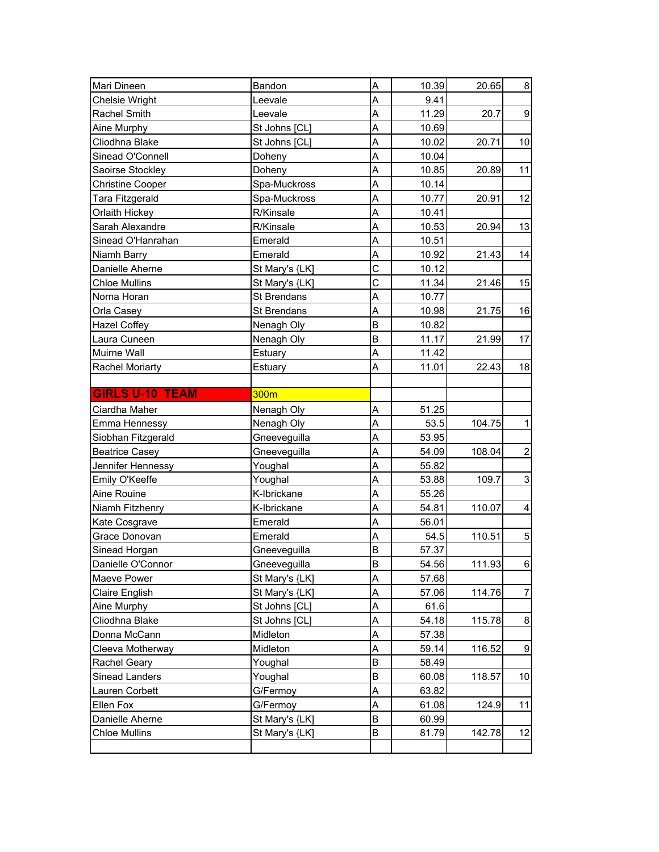| Mari Dineen             | Bandon             | A              | 10.39 | 20.65  | $\bf 8$          |
|-------------------------|--------------------|----------------|-------|--------|------------------|
| Chelsie Wright          | Leevale            | A              | 9.41  |        |                  |
| Rachel Smith            | Leevale            | A              | 11.29 | 20.7   | $\boldsymbol{9}$ |
| Aine Murphy             | St Johns [CL]      | A              | 10.69 |        |                  |
| Cliodhna Blake          | St Johns [CL]      | A              | 10.02 | 20.71  | 10               |
| Sinead O'Connell        | Doheny             | A              | 10.04 |        |                  |
| Saoirse Stockley        | Doheny             | A              | 10.85 | 20.89  | 11               |
| <b>Christine Cooper</b> | Spa-Muckross       | A              | 10.14 |        |                  |
| Tara Fitzgerald         | Spa-Muckross       | A              | 10.77 | 20.91  | 12               |
| Orlaith Hickey          | R/Kinsale          | A              | 10.41 |        |                  |
| Sarah Alexandre         | R/Kinsale          | A              | 10.53 | 20.94  | 13               |
| Sinead O'Hanrahan       | Emerald            | A              | 10.51 |        |                  |
| Niamh Barry             | Emerald            | A              | 10.92 | 21.43  | 14               |
| Danielle Aherne         | St Mary's {LK]     | $\overline{C}$ | 10.12 |        |                  |
| <b>Chloe Mullins</b>    | St Mary's {LK]     | C              | 11.34 | 21.46  | 15               |
| Norna Horan             | St Brendans        | A              | 10.77 |        |                  |
| Orla Casey              | <b>St Brendans</b> | A              | 10.98 | 21.75  | 16               |
| <b>Hazel Coffey</b>     | Nenagh Oly         | B              | 10.82 |        |                  |
| Laura Cuneen            | Nenagh Oly         | B              | 11.17 | 21.99  | 17               |
| Muirne Wall             | Estuary            | A              | 11.42 |        |                  |
| Rachel Moriarty         | Estuary            | A              | 11.01 | 22.43  | 18               |
|                         |                    |                |       |        |                  |
| <b>GIRLS U-10 TEAM</b>  | 300m               |                |       |        |                  |
| Ciardha Maher           | Nenagh Oly         | A              | 51.25 |        |                  |
|                         |                    |                |       |        |                  |
| Emma Hennessy           | Nenagh Oly         | A              | 53.5  | 104.75 | $\mathbf 1$      |
| Siobhan Fitzgerald      | Gneeveguilla       | A              | 53.95 |        |                  |
| <b>Beatrice Casey</b>   | Gneeveguilla       | A              | 54.09 | 108.04 | $\boldsymbol{2}$ |
| Jennifer Hennessy       | Youghal            | A              | 55.82 |        |                  |
| Emily O'Keeffe          | Youghal            | A              | 53.88 | 109.7  | 3                |
| Aine Rouine             | K-Ibrickane        | A              | 55.26 |        |                  |
| Niamh Fitzhenry         | K-Ibrickane        | A              | 54.81 | 110.07 | 4                |
| Kate Cosgrave           | Emerald            | A              | 56.01 |        |                  |
| Grace Donovan           | Emerald            | A              | 54.5  | 110.51 | 5                |
| Sinead Horgan           | Gneeveguilla       | B              | 57.37 |        |                  |
| Danielle O'Connor       | Gneeveguilla       | B              | 54.56 | 111.93 | $\,6$            |
| Maeve Power             | St Mary's {LK]     | A              | 57.68 |        |                  |
| Claire English          | St Mary's {LK]     | A              | 57.06 | 114.76 | $\overline{7}$   |
| Aine Murphy             | St Johns [CL]      | Α              | 61.6  |        |                  |
| Cliodhna Blake          | St Johns [CL]      | A              | 54.18 | 115.78 | 8                |
| Donna McCann            | Midleton           | A              | 57.38 |        |                  |
| Cleeva Motherway        | Midleton           | A              | 59.14 | 116.52 | 9                |
| Rachel Geary            | Youghal            | B              | 58.49 |        |                  |
| Sinead Landers          | Youghal            | B              | 60.08 | 118.57 | 10               |
| Lauren Corbett          | G/Fermoy           | A              | 63.82 |        |                  |
| Ellen Fox               | G/Fermoy           | A              | 61.08 | 124.9  | 11               |
| Danielle Aherne         | St Mary's {LK]     | B              | 60.99 |        |                  |
| <b>Chloe Mullins</b>    | St Mary's {LK]     | B              | 81.79 | 142.78 | 12               |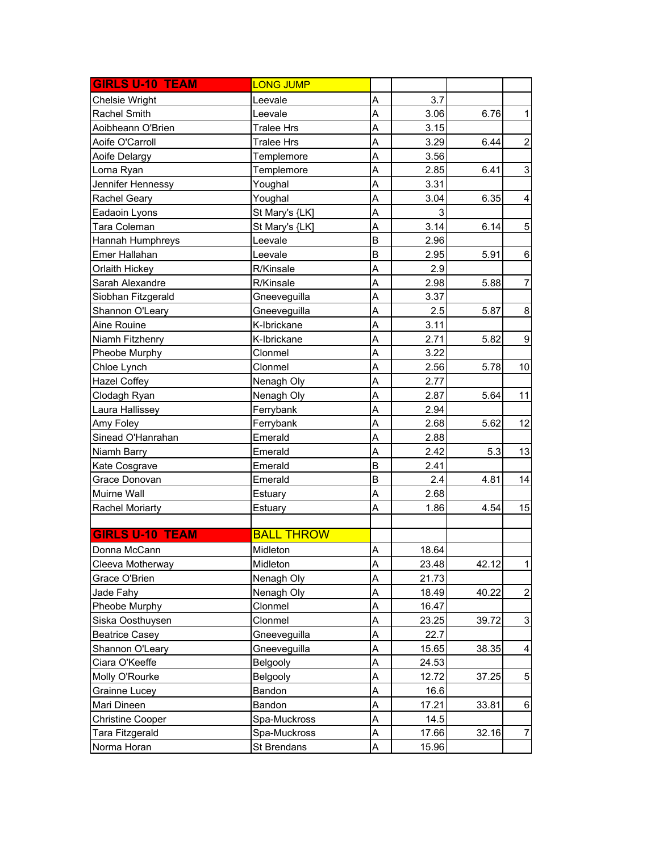| <b>GIRLS U-10 TEAM</b> | <b>LONG JUMP</b>  |   |       |       |                           |
|------------------------|-------------------|---|-------|-------|---------------------------|
| Chelsie Wright         | Leevale           | A | 3.7   |       |                           |
| Rachel Smith           | Leevale           | A | 3.06  | 6.76  | $\mathbf 1$               |
| Aoibheann O'Brien      | <b>Tralee Hrs</b> | A | 3.15  |       |                           |
| Aoife O'Carroll        | <b>Tralee Hrs</b> | A | 3.29  | 6.44  | $\overline{2}$            |
| Aoife Delargy          | Templemore        | A | 3.56  |       |                           |
| Lorna Ryan             | Templemore        | A | 2.85  | 6.41  | $\ensuremath{\mathsf{3}}$ |
| Jennifer Hennessy      | Youghal           | A | 3.31  |       |                           |
| Rachel Geary           | Youghal           | A | 3.04  | 6.35  | 4                         |
| Eadaoin Lyons          | St Mary's {LK]    | A | 3     |       |                           |
| Tara Coleman           | St Mary's {LK]    | A | 3.14  | 6.14  | $\mathbf 5$               |
| Hannah Humphreys       | Leevale           | B | 2.96  |       |                           |
| Emer Hallahan          | Leevale           | B | 2.95  | 5.91  | $\,6$                     |
| Orlaith Hickey         | R/Kinsale         | A | 2.9   |       |                           |
| Sarah Alexandre        | R/Kinsale         | A | 2.98  | 5.88  | $\overline{7}$            |
| Siobhan Fitzgerald     | Gneeveguilla      | A | 3.37  |       |                           |
| Shannon O'Leary        | Gneeveguilla      | A | 2.5   | 5.87  | 8                         |
| Aine Rouine            | K-Ibrickane       | A | 3.11  |       |                           |
| Niamh Fitzhenry        | K-Ibrickane       | A | 2.71  | 5.82  | $\boldsymbol{9}$          |
| Pheobe Murphy          | Clonmel           | A | 3.22  |       |                           |
| Chloe Lynch            | Clonmel           | A | 2.56  | 5.78  | 10                        |
| <b>Hazel Coffey</b>    | Nenagh Oly        | A | 2.77  |       |                           |
| Clodagh Ryan           | Nenagh Oly        | A | 2.87  | 5.64  | 11                        |
| Laura Hallissey        | Ferrybank         | A | 2.94  |       |                           |
| Amy Foley              | Ferrybank         | A | 2.68  | 5.62  | 12                        |
| Sinead O'Hanrahan      | Emerald           | A | 2.88  |       |                           |
| Niamh Barry            | Emerald           | A | 2.42  | 5.3   | 13                        |
| Kate Cosgrave          | Emerald           | B | 2.41  |       |                           |
| Grace Donovan          | Emerald           | B | 2.4   | 4.81  | 14                        |
| Muirne Wall            | Estuary           | A | 2.68  |       |                           |
| <b>Rachel Moriarty</b> | Estuary           | A | 1.86  | 4.54  | 15                        |
|                        |                   |   |       |       |                           |
| <b>GIRLS U-10 TEAM</b> | <b>BALL THROW</b> |   |       |       |                           |
| Donna McCann           | Midleton          | Α | 18.64 |       |                           |
| Cleeva Motherway       | Midleton          | A | 23.48 | 42.12 | 1                         |
| Grace O'Brien          | Nenagh Oly        | A | 21.73 |       |                           |
| Jade Fahy              | Nenagh Oly        | A | 18.49 | 40.22 | $\overline{2}$            |
| Pheobe Murphy          | Clonmel           | A | 16.47 |       |                           |
| Siska Oosthuysen       | Clonmel           | A | 23.25 | 39.72 | $\ensuremath{\mathsf{3}}$ |
| <b>Beatrice Casey</b>  | Gneeveguilla      | A | 22.7  |       |                           |
| Shannon O'Leary        | Gneeveguilla      | A | 15.65 | 38.35 | 4                         |
| Ciara O'Keeffe         | Belgooly          | A | 24.53 |       |                           |
| Molly O'Rourke         | Belgooly          | A | 12.72 | 37.25 | 5                         |
| Grainne Lucey          | Bandon            | A | 16.6  |       |                           |
| Mari Dineen            | Bandon            | A | 17.21 | 33.81 | $\,6$                     |
| Christine Cooper       | Spa-Muckross      | A | 14.5  |       |                           |
| Tara Fitzgerald        | Spa-Muckross      | A | 17.66 | 32.16 | 7                         |
| Norma Horan            | St Brendans       | A | 15.96 |       |                           |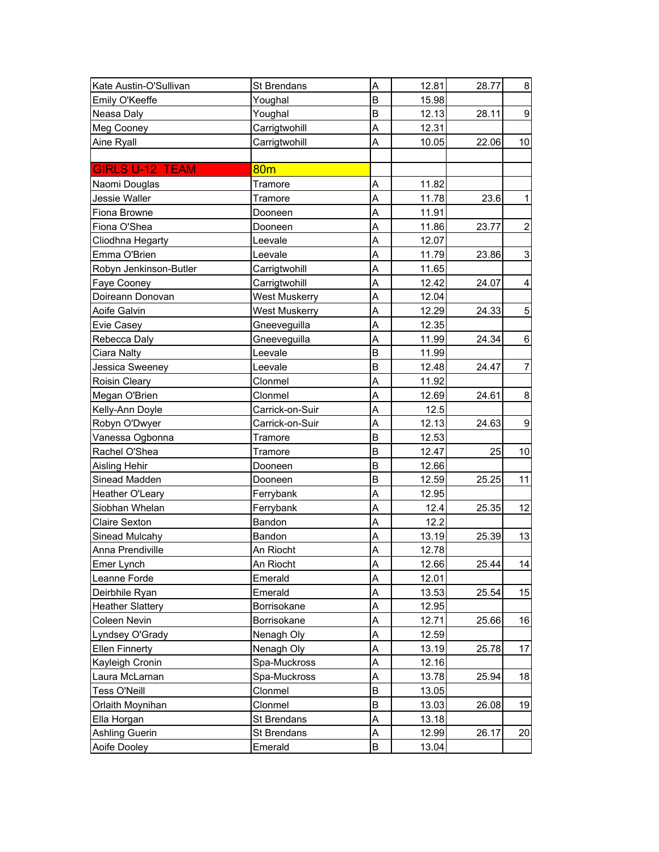| Kate Austin-O'Sullivan  | St Brendans          | A | 12.81 | 28.77 | 8 <sup>1</sup>          |
|-------------------------|----------------------|---|-------|-------|-------------------------|
| Emily O'Keeffe          | Youghal              | B | 15.98 |       |                         |
| Neasa Daly              | Youghal              | B | 12.13 | 28.11 | $\overline{9}$          |
| Meg Cooney              | Carrigtwohill        | A | 12.31 |       |                         |
| Aine Ryall              | Carrigtwohill        | A | 10.05 | 22.06 | 10                      |
|                         |                      |   |       |       |                         |
| <b>GIRLS U-12 TEAM</b>  | 80 <sub>m</sub>      |   |       |       |                         |
| Naomi Douglas           | Tramore              | A | 11.82 |       |                         |
| <b>Jessie Waller</b>    | Tramore              | A | 11.78 | 23.6  | $\mathbf{1}$            |
| Fiona Browne            | Dooneen              | A | 11.91 |       |                         |
| Fiona O'Shea            | Dooneen              | A | 11.86 | 23.77 | $\boldsymbol{2}$        |
| Cliodhna Hegarty        | Leevale              | A | 12.07 |       |                         |
| Emma O'Brien            | Leevale              | A | 11.79 | 23.86 | 3                       |
| Robyn Jenkinson-Butler  | Carrigtwohill        | A | 11.65 |       |                         |
| Faye Cooney             | Carrigtwohill        | A | 12.42 | 24.07 | $\overline{\mathbf{4}}$ |
| Doireann Donovan        | <b>West Muskerry</b> | A | 12.04 |       |                         |
| Aoife Galvin            | <b>West Muskerry</b> | A | 12.29 | 24.33 | $\sqrt{5}$              |
| Evie Casey              | Gneeveguilla         | A | 12.35 |       |                         |
| Rebecca Daly            | Gneeveguilla         | A | 11.99 | 24.34 | 6                       |
| Ciara Nalty             | Leevale              | B | 11.99 |       |                         |
| Jessica Sweeney         | Leevale              | B | 12.48 | 24.47 | $\overline{7}$          |
| Roisin Cleary           | Clonmel              | A | 11.92 |       |                         |
| Megan O'Brien           | Clonmel              | A | 12.69 | 24.61 | $\bf 8$                 |
| Kelly-Ann Doyle         | Carrick-on-Suir      | A | 12.5  |       |                         |
| Robyn O'Dwyer           | Carrick-on-Suir      | A | 12.13 | 24.63 | $\overline{9}$          |
| Vanessa Ogbonna         | Tramore              | B | 12.53 |       |                         |
| Rachel O'Shea           | Tramore              | B | 12.47 | 25    | 10                      |
| <b>Aisling Hehir</b>    | Dooneen              | B | 12.66 |       |                         |
| Sinead Madden           | Dooneen              | B | 12.59 | 25.25 | 11                      |
| Heather O'Leary         | Ferrybank            | A | 12.95 |       |                         |
| Siobhan Whelan          | Ferrybank            | A | 12.4  | 25.35 | 12                      |
| <b>Claire Sexton</b>    | Bandon               | A | 12.2  |       |                         |
| Sinead Mulcahy          | Bandon               | A | 13.19 | 25.39 | 13                      |
| Anna Prendiville        | An Riocht            | A | 12.78 |       |                         |
| Emer Lynch              | An Riocht            | Α | 12.66 | 25.44 | 14                      |
| Leanne Forde            | Emerald              | A | 12.01 |       |                         |
| Deirbhile Ryan          | Emerald              | A | 13.53 | 25.54 | 15                      |
| <b>Heather Slattery</b> | Borrisokane          | Α | 12.95 |       |                         |
| Coleen Nevin            | Borrisokane          | A | 12.71 | 25.66 | 16                      |
| Lyndsey O'Grady         | Nenagh Oly           | A | 12.59 |       |                         |
| <b>Ellen Finnerty</b>   | Nenagh Oly           | A | 13.19 | 25.78 | 17                      |
| Kayleigh Cronin         | Spa-Muckross         | Α | 12.16 |       |                         |
| Laura McLarnan          | Spa-Muckross         | A | 13.78 | 25.94 | 18                      |
| <b>Tess O'Neill</b>     | Clonmel              | B | 13.05 |       |                         |
| Orlaith Moynihan        | Clonmel              | B | 13.03 | 26.08 | 19                      |
| Ella Horgan             | St Brendans          | A | 13.18 |       |                         |
| Ashling Guerin          | St Brendans          | Α | 12.99 | 26.17 | 20                      |
| Aoife Dooley            | Emerald              | B | 13.04 |       |                         |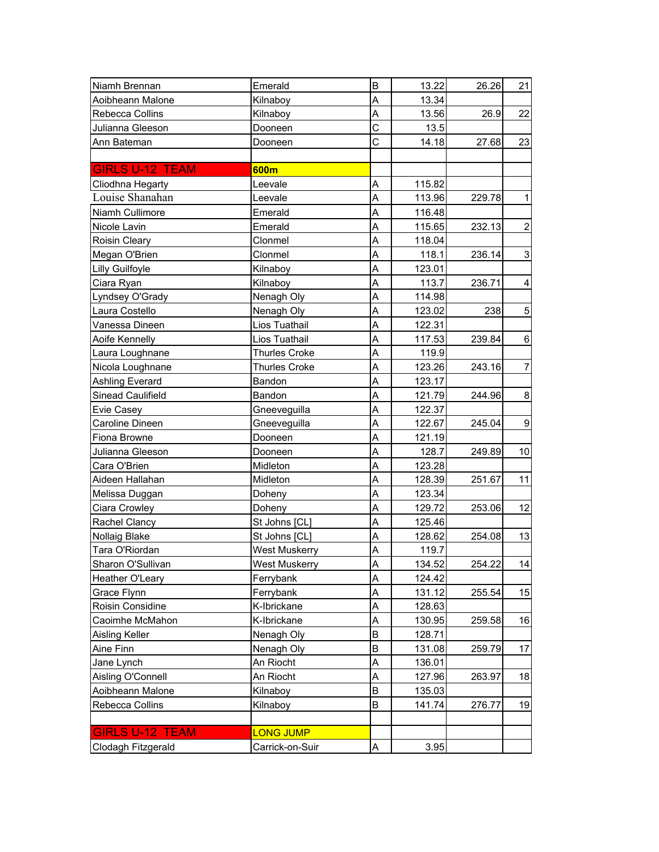| Niamh Brennan          | Emerald              | B | 13.22  | 26.26  | 21                      |
|------------------------|----------------------|---|--------|--------|-------------------------|
| Aoibheann Malone       | Kilnaboy             | A | 13.34  |        |                         |
| Rebecca Collins        | Kilnaboy             | A | 13.56  | 26.9   | 22                      |
| Julianna Gleeson       | Dooneen              | C | 13.5   |        |                         |
| Ann Bateman            | Dooneen              | C | 14.18  | 27.68  | 23                      |
|                        |                      |   |        |        |                         |
| <b>GIRLS U-12 TEAM</b> | 600m                 |   |        |        |                         |
| Cliodhna Hegarty       | Leevale              | A | 115.82 |        |                         |
| Louise Shanahan        | Leevale              | A | 113.96 | 229.78 | $\mathbf{1}$            |
| Niamh Cullimore        | Emerald              | A | 116.48 |        |                         |
| Nicole Lavin           | Emerald              | A | 115.65 | 232.13 | $\overline{\mathbf{c}}$ |
| Roisin Cleary          | Clonmel              | A | 118.04 |        |                         |
| Megan O'Brien          | Clonmel              | A | 118.1  | 236.14 | 3                       |
| Lilly Guilfoyle        | Kilnaboy             | A | 123.01 |        |                         |
| Ciara Ryan             | Kilnaboy             | A | 113.7  | 236.71 | 4                       |
| Lyndsey O'Grady        | Nenagh Oly           | A | 114.98 |        |                         |
| Laura Costello         | Nenagh Oly           | A | 123.02 | 238    | 5                       |
| Vanessa Dineen         | Lios Tuathail        | A | 122.31 |        |                         |
| Aoife Kennelly         | Lios Tuathail        | A | 117.53 | 239.84 | 6                       |
| Laura Loughnane        | <b>Thurles Croke</b> | A | 119.9  |        |                         |
| Nicola Loughnane       | <b>Thurles Croke</b> | A | 123.26 | 243.16 | $\overline{7}$          |
| Ashling Everard        | Bandon               | A | 123.17 |        |                         |
| Sinead Caulifield      | Bandon               | A | 121.79 | 244.96 | 8                       |
| Evie Casey             | Gneeveguilla         | A | 122.37 |        |                         |
| Caroline Dineen        | Gneeveguilla         | A | 122.67 | 245.04 | $\boldsymbol{9}$        |
| Fiona Browne           | Dooneen              | A | 121.19 |        |                         |
| Julianna Gleeson       | Dooneen              | A | 128.7  | 249.89 | 10                      |
| Cara O'Brien           | Midleton             | A | 123.28 |        |                         |
| Aideen Hallahan        | Midleton             | A | 128.39 | 251.67 | 11                      |
| Melissa Duggan         | Doheny               | A | 123.34 |        |                         |
| Ciara Crowley          | Doheny               | A | 129.72 | 253.06 | 12                      |
| Rachel Clancy          | St Johns [CL]        | A | 125.46 |        |                         |
| Nollaig Blake          | St Johns [CL]        | A | 128.62 | 254.08 | 13                      |
| Tara O'Riordan         | West Muskerry        | A | 119.7  |        |                         |
| Sharon O'Sullivan      | <b>West Muskerry</b> | Α | 134.52 | 254.22 | 14                      |
| Heather O'Leary        | Ferrybank            | A | 124.42 |        |                         |
| Grace Flynn            | Ferrybank            | A | 131.12 | 255.54 | 15                      |
| Roisin Considine       | K-Ibrickane          | A | 128.63 |        |                         |
| Caoimhe McMahon        | K-Ibrickane          | A | 130.95 | 259.58 | 16                      |
| Aisling Keller         | Nenagh Oly           | B | 128.71 |        |                         |
| Aine Finn              | Nenagh Oly           | B | 131.08 | 259.79 | 17                      |
| Jane Lynch             | An Riocht            | A | 136.01 |        |                         |
| Aisling O'Connell      | An Riocht            | A | 127.96 | 263.97 | 18                      |
| Aoibheann Malone       | Kilnaboy             | B | 135.03 |        |                         |
| Rebecca Collins        | Kilnaboy             | B | 141.74 | 276.77 | 19                      |
|                        |                      |   |        |        |                         |
| <b>GIRLS U-12 TEAM</b> | <b>LONG JUMP</b>     |   |        |        |                         |
| Clodagh Fitzgerald     | Carrick-on-Suir      | A | 3.95   |        |                         |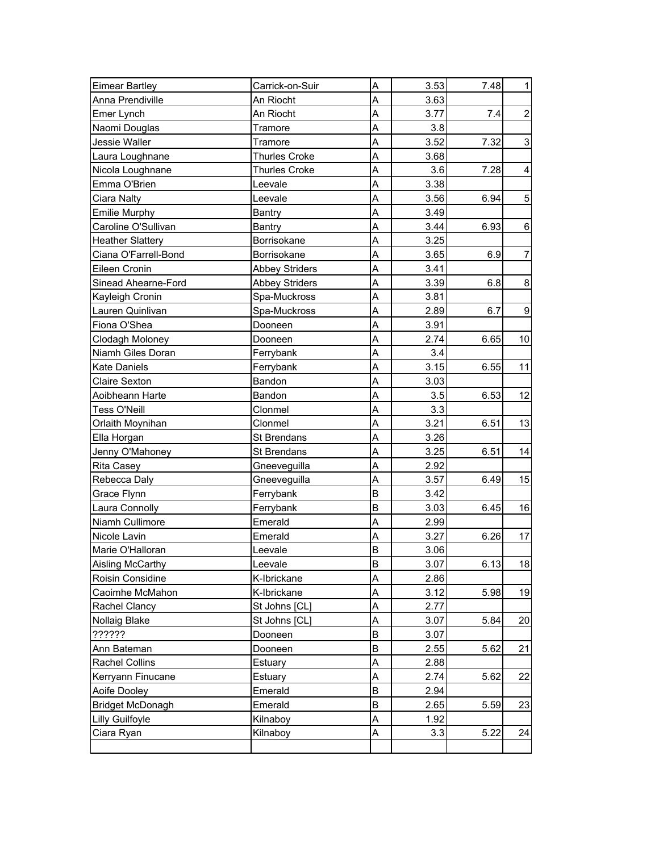| <b>Eimear Bartley</b>   | Carrick-on-Suir       | A | 3.53 | 7.48 | 1                |
|-------------------------|-----------------------|---|------|------|------------------|
| Anna Prendiville        | An Riocht             | A | 3.63 |      |                  |
| Emer Lynch              | An Riocht             | A | 3.77 | 7.4  | $\overline{c}$   |
| Naomi Douglas           | Tramore               | A | 3.8  |      |                  |
| Jessie Waller           | Tramore               | A | 3.52 | 7.32 | 3                |
| Laura Loughnane         | <b>Thurles Croke</b>  | A | 3.68 |      |                  |
| Nicola Loughnane        | Thurles Croke         | A | 3.6  | 7.28 | $\overline{4}$   |
| Emma O'Brien            | Leevale               | A | 3.38 |      |                  |
| Ciara Nalty             | Leevale               | A | 3.56 | 6.94 | $\mathbf 5$      |
| <b>Emilie Murphy</b>    | Bantry                | A | 3.49 |      |                  |
| Caroline O'Sullivan     | <b>Bantry</b>         | A | 3.44 | 6.93 | 6                |
| <b>Heather Slattery</b> | Borrisokane           | A | 3.25 |      |                  |
| Ciana O'Farrell-Bond    | Borrisokane           | A | 3.65 | 6.9  | $\overline{7}$   |
| Eileen Cronin           | <b>Abbey Striders</b> | A | 3.41 |      |                  |
| Sinead Ahearne-Ford     | <b>Abbey Striders</b> | A | 3.39 | 6.8  | 8                |
| Kayleigh Cronin         | Spa-Muckross          | A | 3.81 |      |                  |
| Lauren Quinlivan        | Spa-Muckross          | A | 2.89 | 6.7  | $\boldsymbol{9}$ |
| Fiona O'Shea            | Dooneen               | A | 3.91 |      |                  |
| Clodagh Moloney         | Dooneen               | A | 2.74 | 6.65 | 10               |
| Niamh Giles Doran       | Ferrybank             | A | 3.4  |      |                  |
| <b>Kate Daniels</b>     | Ferrybank             | A | 3.15 | 6.55 | 11               |
| Claire Sexton           | Bandon                | A | 3.03 |      |                  |
| Aoibheann Harte         | Bandon                | A | 3.5  | 6.53 | 12               |
| <b>Tess O'Neill</b>     | Clonmel               | A | 3.3  |      |                  |
| Orlaith Moynihan        | Clonmel               | A | 3.21 | 6.51 | 13               |
| Ella Horgan             | St Brendans           | A | 3.26 |      |                  |
| Jenny O'Mahoney         | St Brendans           | Α | 3.25 | 6.51 | 14               |
| Rita Casey              | Gneeveguilla          | A | 2.92 |      |                  |
| Rebecca Daly            | Gneeveguilla          | A | 3.57 | 6.49 | 15               |
| Grace Flynn             | Ferrybank             | B | 3.42 |      |                  |
| Laura Connolly          | Ferrybank             | B | 3.03 | 6.45 | 16               |
| Niamh Cullimore         | Emerald               | A | 2.99 |      |                  |
| Nicole Lavin            | Emerald               | A | 3.27 | 6.26 | 17               |
| Marie O'Halloran        | Leevale               | B | 3.06 |      |                  |
| Aisling McCarthy        | Leevale               | В | 3.07 | 6.13 | 18               |
| Roisin Considine        | K-Ibrickane           | A | 2.86 |      |                  |
| Caoimhe McMahon         | K-Ibrickane           | A | 3.12 | 5.98 | 19               |
| Rachel Clancy           | St Johns [CL]         | Α | 2.77 |      |                  |
| Nollaig Blake           | St Johns [CL]         | A | 3.07 | 5.84 | 20               |
| ??????                  | Dooneen               | B | 3.07 |      |                  |
| Ann Bateman             | Dooneen               | B | 2.55 | 5.62 | 21               |
| <b>Rachel Collins</b>   | Estuary               | A | 2.88 |      |                  |
| Kerryann Finucane       | Estuary               | A | 2.74 | 5.62 | 22               |
| Aoife Dooley            | Emerald               | B | 2.94 |      |                  |
| <b>Bridget McDonagh</b> | Emerald               | B | 2.65 | 5.59 | 23               |
| Lilly Guilfoyle         | Kilnaboy              | A | 1.92 |      |                  |
| Ciara Ryan              | Kilnaboy              | Α | 3.3  | 5.22 | 24               |
|                         |                       |   |      |      |                  |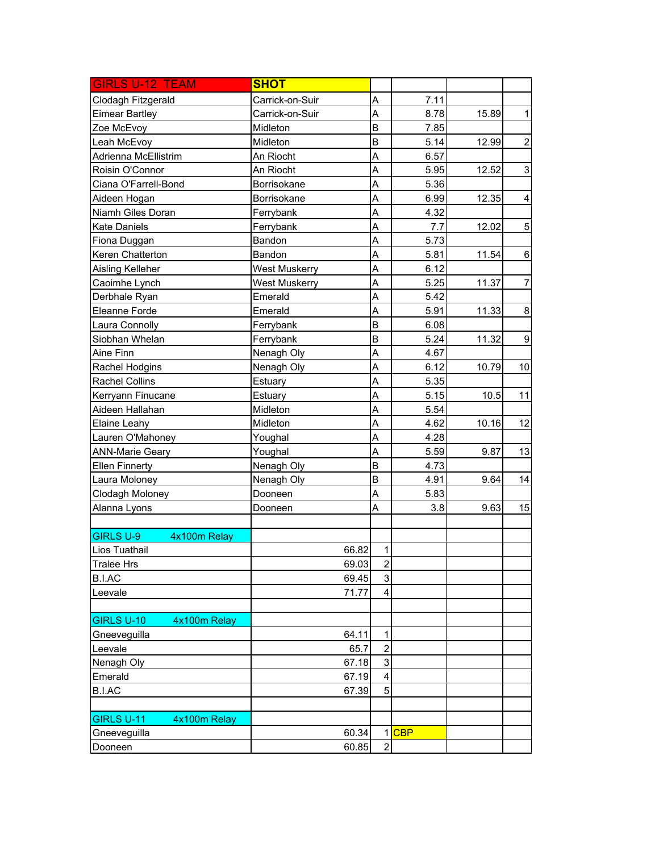| <b>GIRLS U-12 TEAM</b>            | <b>SHOT</b>          |                |            |       |                           |
|-----------------------------------|----------------------|----------------|------------|-------|---------------------------|
| Clodagh Fitzgerald                | Carrick-on-Suir      | A              | 7.11       |       |                           |
| <b>Eimear Bartley</b>             | Carrick-on-Suir      | A              | 8.78       | 15.89 | $\mathbf{1}$              |
| Zoe McEvoy                        | Midleton             | B              | 7.85       |       |                           |
| Leah McEvoy                       | Midleton             | B              | 5.14       | 12.99 | $\overline{c}$            |
| Adrienna McEllistrim              | An Riocht            | A              | 6.57       |       |                           |
| Roisin O'Connor                   | An Riocht            | A              | 5.95       | 12.52 | $\ensuremath{\mathsf{3}}$ |
| Ciana O'Farrell-Bond              | Borrisokane          | A              | 5.36       |       |                           |
| Aideen Hogan                      | Borrisokane          | A              | 6.99       | 12.35 | $\overline{\mathbf{4}}$   |
| Niamh Giles Doran                 | Ferrybank            | A              | 4.32       |       |                           |
| <b>Kate Daniels</b>               | Ferrybank            | A              | 7.7        | 12.02 | $\mathbf 5$               |
| Fiona Duggan                      | Bandon               | A              | 5.73       |       |                           |
| Keren Chatterton                  | Bandon               | A              | 5.81       | 11.54 | $\,6$                     |
| Aisling Kelleher                  | <b>West Muskerry</b> | A              | 6.12       |       |                           |
| Caoimhe Lynch                     | West Muskerry        | A              | 5.25       | 11.37 | $\overline{7}$            |
| Derbhale Ryan                     | Emerald              | A              | 5.42       |       |                           |
| Eleanne Forde                     | Emerald              | A              | 5.91       | 11.33 | $\bf 8$                   |
| Laura Connolly                    | Ferrybank            | B              | 6.08       |       |                           |
| Siobhan Whelan                    | Ferrybank            | B              | 5.24       | 11.32 | $\boldsymbol{9}$          |
| Aine Finn                         | Nenagh Oly           | A              | 4.67       |       |                           |
| Rachel Hodgins                    | Nenagh Oly           | A              | 6.12       | 10.79 | 10                        |
| <b>Rachel Collins</b>             | Estuary              | A              | 5.35       |       |                           |
| Kerryann Finucane                 | Estuary              | A              | 5.15       | 10.5  | 11                        |
| Aideen Hallahan                   | Midleton             | A              | 5.54       |       |                           |
| Elaine Leahy                      | Midleton             | A              | 4.62       | 10.16 | 12                        |
| Lauren O'Mahoney                  | Youghal              | A              | 4.28       |       |                           |
| <b>ANN-Marie Geary</b>            | Youghal              | Α              | 5.59       | 9.87  | 13                        |
| <b>Ellen Finnerty</b>             | Nenagh Oly           | B              | 4.73       |       |                           |
| Laura Moloney                     | Nenagh Oly           | B              | 4.91       | 9.64  | 14                        |
| Clodagh Moloney                   | Dooneen              | A              | 5.83       |       |                           |
| Alanna Lyons                      | Dooneen              | A              | 3.8        | 9.63  | 15                        |
|                                   |                      |                |            |       |                           |
| <b>GIRLS U-9</b><br>4x100m Relay  |                      |                |            |       |                           |
| Lios Tuathail                     | 66.82                | $\mathbf 1$    |            |       |                           |
| <b>Tralee Hrs</b>                 | 69.03                | $\mathbf{2}$   |            |       |                           |
| B.I.AC                            | 69.45                | 3              |            |       |                           |
| Leevale                           | 71.77                | 4              |            |       |                           |
|                                   |                      |                |            |       |                           |
| <b>GIRLS U-10</b><br>4x100m Relay |                      |                |            |       |                           |
| Gneeveguilla                      | 64.11                | 1              |            |       |                           |
| Leevale                           | 65.7                 | $\overline{2}$ |            |       |                           |
| Nenagh Oly                        | 67.18                | 3              |            |       |                           |
| Emerald                           | 67.19                | 4              |            |       |                           |
| <b>B.I.AC</b>                     | 67.39                | 5              |            |       |                           |
|                                   |                      |                |            |       |                           |
| GIRLS U-11<br>4x100m Relay        |                      |                |            |       |                           |
| Gneeveguilla                      | 60.34                | 1              | <b>CBP</b> |       |                           |
| Dooneen                           | 60.85                | $\overline{2}$ |            |       |                           |